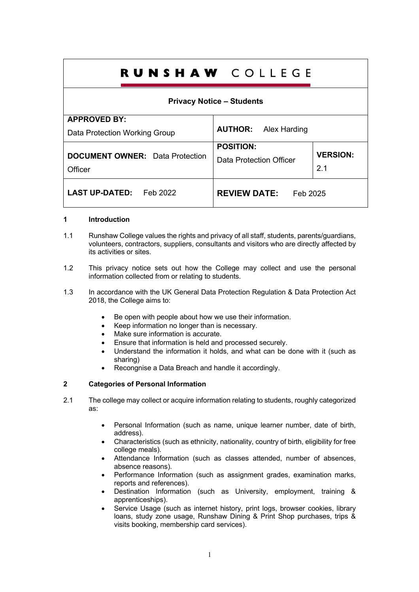# **RUNSHAW COLLEGE**

# **Privacy Notice – Students**

| <b>APPROVED BY:</b>                    |                                 |                 |
|----------------------------------------|---------------------------------|-----------------|
| Data Protection Working Group          | <b>AUTHOR:</b> Alex Harding     |                 |
|                                        | <b>POSITION:</b>                |                 |
| <b>DOCUMENT OWNER:</b> Data Protection | Data Protection Officer         | <b>VERSION:</b> |
| Officer                                |                                 | 2.1             |
| <b>LAST UP-DATED:</b><br>Feb 2022      | <b>REVIEW DATE:</b><br>Feb 2025 |                 |

## **1 Introduction**

- 1.1 Runshaw College values the rights and privacy of all staff, students, parents/guardians, volunteers, contractors, suppliers, consultants and visitors who are directly affected by its activities or sites.
- 1.2 This privacy notice sets out how the College may collect and use the personal information collected from or relating to students.
- 1.3 In accordance with the UK General Data Protection Regulation & Data Protection Act 2018, the College aims to:
	- Be open with people about how we use their information.
	- Keep information no longer than is necessary.
	- Make sure information is accurate.
	- Ensure that information is held and processed securely.
	- Understand the information it holds, and what can be done with it (such as sharing)
	- Recongnise a Data Breach and handle it accordingly.

# **2 Categories of Personal Information**

- 2.1 The college may collect or acquire information relating to students, roughly categorized as:
	- Personal Information (such as name, unique learner number, date of birth, address).
	- Characteristics (such as ethnicity, nationality, country of birth, eligibility for free college meals).
	- Attendance Information (such as classes attended, number of absences, absence reasons).
	- Performance Information (such as assignment grades, examination marks, reports and references).
	- Destination Information (such as University, employment, training & apprenticeships).
	- Service Usage (such as internet history, print logs, browser cookies, library loans, study zone usage, Runshaw Dining & Print Shop purchases, trips & visits booking, membership card services).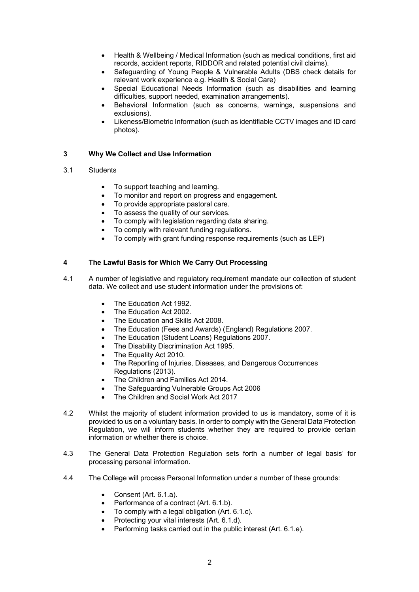- Health & Wellbeing / Medical Information (such as medical conditions, first aid records, accident reports, RIDDOR and related potential civil claims).
- Safeguarding of Young People & Vulnerable Adults (DBS check details for relevant work experience e.g. Health & Social Care)
- Special Educational Needs Information (such as disabilities and learning difficulties, support needed, examination arrangements).
- Behavioral Information (such as concerns, warnings, suspensions and exclusions).
- Likeness/Biometric Information (such as identifiable CCTV images and ID card photos).

## **3 Why We Collect and Use Information**

#### 3.1 Students

- To support teaching and learning.
- To monitor and report on progress and engagement.
- To provide appropriate pastoral care.
- To assess the quality of our services.
- To comply with legislation regarding data sharing.
- To comply with relevant funding regulations.
- To comply with grant funding response requirements (such as LEP)

## **4 The Lawful Basis for Which We Carry Out Processing**

- 4.1 A number of legislative and regulatory requirement mandate our collection of student data. We collect and use student information under the provisions of:
	- The Education Act 1992.
	- The Education Act 2002.
	- The Education and Skills Act 2008.
	- The Education (Fees and Awards) (England) Regulations 2007.
	- The Education (Student Loans) Regulations 2007.
	- The Disability Discrimination Act 1995.
	- The Equality Act 2010.
	- The Reporting of Injuries, Diseases, and Dangerous Occurrences Regulations (2013).
	- The Children and Families Act 2014.
	- The Safeguarding Vulnerable Groups Act 2006
	- The Children and Social Work Act 2017
- 4.2 Whilst the majority of student information provided to us is mandatory, some of it is provided to us on a voluntary basis. In order to comply with the General Data Protection Regulation, we will inform students whether they are required to provide certain information or whether there is choice.
- 4.3 The General Data Protection Regulation sets forth a number of legal basis' for processing personal information.
- 4.4 The College will process Personal Information under a number of these grounds:
	- Consent (Art. 6.1.a).
	- Performance of a contract (Art. 6.1.b).
	- To comply with a legal obligation (Art. 6.1.c).
	- Protecting your vital interests (Art. 6.1.d).
	- Performing tasks carried out in the public interest (Art. 6.1.e).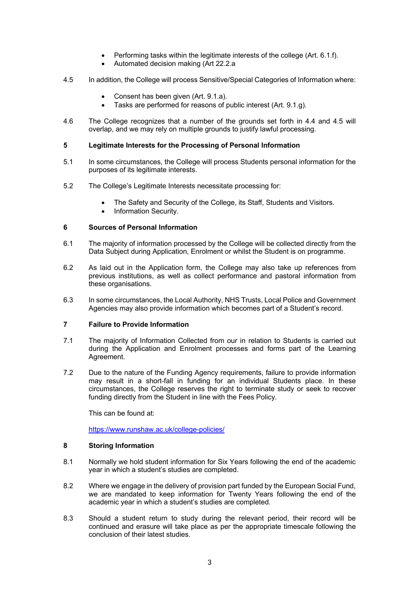- Performing tasks within the legitimate interests of the college (Art. 6.1.f).
- Automated decision making (Art 22.2.a
- 4.5 In addition, the College will process Sensitive/Special Categories of Information where:
	- Consent has been given (Art. 9.1.a).
	- Tasks are performed for reasons of public interest (Art. 9.1.g).
- 4.6 The College recognizes that a number of the grounds set forth in 4.4 and 4.5 will overlap, and we may rely on multiple grounds to justify lawful processing.

#### **5 Legitimate Interests for the Processing of Personal Information**

- 5.1 In some circumstances, the College will process Students personal information for the purposes of its legitimate interests.
- 5.2 The College's Legitimate Interests necessitate processing for:
	- The Safety and Security of the College, its Staff, Students and Visitors.
	- Information Security.

## **6 Sources of Personal Information**

- 6.1 The majority of information processed by the College will be collected directly from the Data Subject during Application, Enrolment or whilst the Student is on programme.
- 6.2 As laid out in the Application form, the College may also take up references from previous institutions, as well as collect performance and pastoral information from these organisations.
- 6.3 In some circumstances, the Local Authority, NHS Trusts, Local Police and Government Agencies may also provide information which becomes part of a Student's record.

## **7 Failure to Provide Information**

- 7.1 The majority of Information Collected from our in relation to Students is carried out during the Application and Enrolment processes and forms part of the Learning Agreement.
- 7.2 Due to the nature of the Funding Agency requirements, failure to provide information may result in a short-fall in funding for an individual Students place. In these circumstances, the College reserves the right to terminate study or seek to recover funding directly from the Student in line with the Fees Policy.

This can be found at:

https://www.runshaw.ac.uk/college-policies/

#### **8 Storing Information**

- 8.1 Normally we hold student information for Six Years following the end of the academic year in which a student's studies are completed.
- 8.2 Where we engage in the delivery of provision part funded by the European Social Fund, we are mandated to keep information for Twenty Years following the end of the academic year in which a student's studies are completed.
- 8.3 Should a student return to study during the relevant period, their record will be continued and erasure will take place as per the appropriate timescale following the conclusion of their latest studies.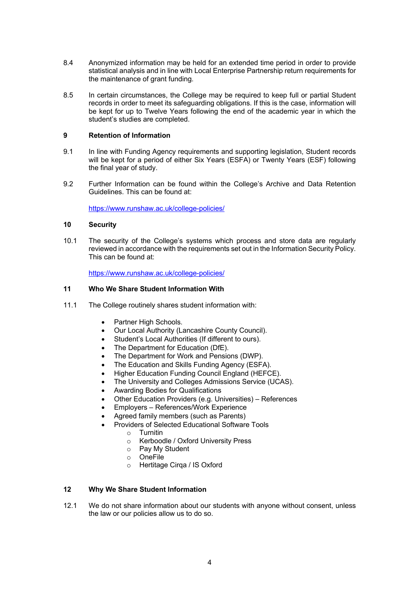- 8.4 Anonymized information may be held for an extended time period in order to provide statistical analysis and in line with Local Enterprise Partnership return requirements for the maintenance of grant funding.
- 8.5 In certain circumstances, the College may be required to keep full or partial Student records in order to meet its safeguarding obligations. If this is the case, information will be kept for up to Twelve Years following the end of the academic year in which the student's studies are completed.

## **9 Retention of Information**

- 9.1 In line with Funding Agency requirements and supporting legislation, Student records will be kept for a period of either Six Years (ESFA) or Twenty Years (ESF) following the final year of study.
- 9.2 Further Information can be found within the College's Archive and Data Retention Guidelines. This can be found at:

https://www.runshaw.ac.uk/college-policies/

## **10 Security**

10.1 The security of the College's systems which process and store data are regularly reviewed in accordance with the requirements set out in the Information Security Policy. This can be found at:

https://www.runshaw.ac.uk/college-policies/

## **11 Who We Share Student Information With**

- 11.1 The College routinely shares student information with:
	- Partner High Schools.
	- Our Local Authority (Lancashire County Council).
	- Student's Local Authorities (If different to ours).
	- The Department for Education (DfE).
	- The Department for Work and Pensions (DWP).
	- The Education and Skills Funding Agency (ESFA).
	- Higher Education Funding Council England (HEFCE).
	- The University and Colleges Admissions Service (UCAS).
	- Awarding Bodies for Qualifications
	- Other Education Providers (e.g. Universities) References
	- Employers References/Work Experience
	- Agreed family members (such as Parents)
	- Providers of Selected Educational Software Tools
		- $\circ$  Turnitin
		- o Kerboodle / Oxford University Press
		- o Pay My Student
		- o OneFile
		- o Hertitage Cirqa / IS Oxford

## **12 Why We Share Student Information**

12.1 We do not share information about our students with anyone without consent, unless the law or our policies allow us to do so.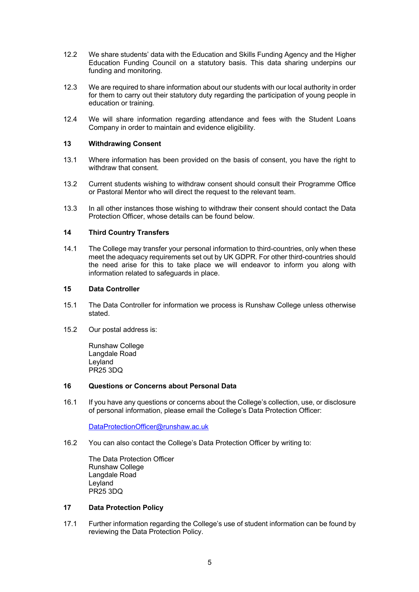- 12.2 We share students' data with the Education and Skills Funding Agency and the Higher Education Funding Council on a statutory basis. This data sharing underpins our funding and monitoring.
- 12.3 We are required to share information about our students with our local authority in order for them to carry out their statutory duty regarding the participation of young people in education or training.
- 12.4 We will share information regarding attendance and fees with the Student Loans Company in order to maintain and evidence eligibility.

## **13 Withdrawing Consent**

- 13.1 Where information has been provided on the basis of consent, you have the right to withdraw that consent.
- 13.2 Current students wishing to withdraw consent should consult their Programme Office or Pastoral Mentor who will direct the request to the relevant team.
- 13.3 In all other instances those wishing to withdraw their consent should contact the Data Protection Officer, whose details can be found below.

## **14 Third Country Transfers**

14.1 The College may transfer your personal information to third-countries, only when these meet the adequacy requirements set out by UK GDPR. For other third-countries should the need arise for this to take place we will endeavor to inform you along with information related to safeguards in place.

#### **15 Data Controller**

- 15.1 The Data Controller for information we process is Runshaw College unless otherwise stated.
- 15.2 Our postal address is:

Runshaw College Langdale Road Leyland PR25 3DQ

#### **16 Questions or Concerns about Personal Data**

16.1 If you have any questions or concerns about the College's collection, use, or disclosure of personal information, please email the College's Data Protection Officer:

DataProtectionOfficer@runshaw.ac.uk

16.2 You can also contact the College's Data Protection Officer by writing to:

The Data Protection Officer Runshaw College Langdale Road Leyland PR25 3DQ

#### **17 Data Protection Policy**

17.1 Further information regarding the College's use of student information can be found by reviewing the Data Protection Policy.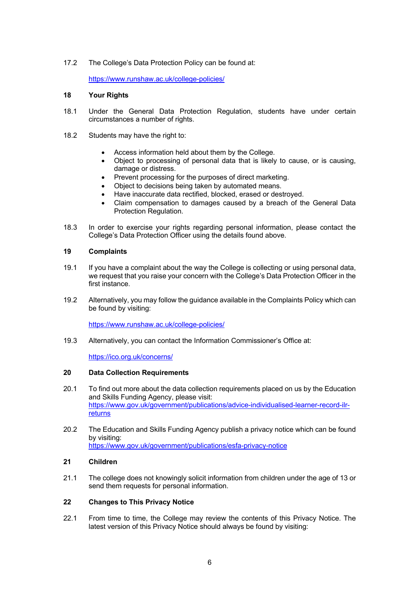# 17.2 The College's Data Protection Policy can be found at:

https://www.runshaw.ac.uk/college-policies/

#### **18 Your Rights**

- 18.1 Under the General Data Protection Regulation, students have under certain circumstances a number of rights.
- 18.2 Students may have the right to:
	- Access information held about them by the College.
	- Object to processing of personal data that is likely to cause, or is causing, damage or distress.
	- Prevent processing for the purposes of direct marketing.
	- Object to decisions being taken by automated means.
	- Have inaccurate data rectified, blocked, erased or destroyed.
	- Claim compensation to damages caused by a breach of the General Data Protection Regulation.
- 18.3 In order to exercise your rights regarding personal information, please contact the College's Data Protection Officer using the details found above.

#### **19 Complaints**

- 19.1 If you have a complaint about the way the College is collecting or using personal data, we request that you raise your concern with the College's Data Protection Officer in the first instance.
- 19.2 Alternatively, you may follow the guidance available in the Complaints Policy which can be found by visiting:

https://www.runshaw.ac.uk/college-policies/

19.3 Alternatively, you can contact the Information Commissioner's Office at:

https://ico.org.uk/concerns/

## **20 Data Collection Requirements**

- 20.1 To find out more about the data collection requirements placed on us by the Education and Skills Funding Agency, please visit: https://www.gov.uk/government/publications/advice-individualised-learner-record-ilrreturns
- 20.2 The Education and Skills Funding Agency publish a privacy notice which can be found by visiting: https://www.gov.uk/government/publications/esfa-privacy-notice

## **21 Children**

21.1 The college does not knowingly solicit information from children under the age of 13 or send them requests for personal information.

#### **22 Changes to This Privacy Notice**

22.1 From time to time, the College may review the contents of this Privacy Notice. The latest version of this Privacy Notice should always be found by visiting: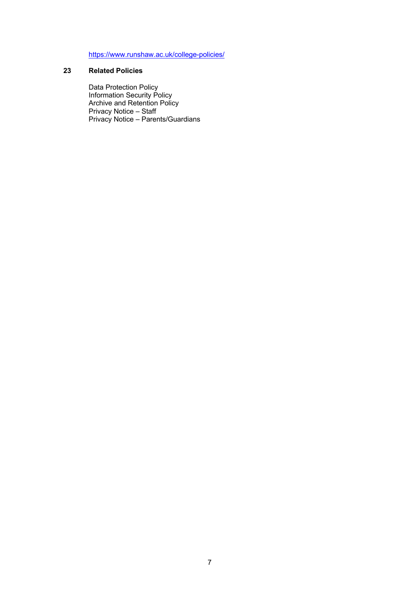https://www.runshaw.ac.uk/college-policies/

# **23 Related Policies**

Data Protection Policy Information Security Policy Archive and Retention Policy Privacy Notice – Staff Privacy Notice – Parents/Guardians